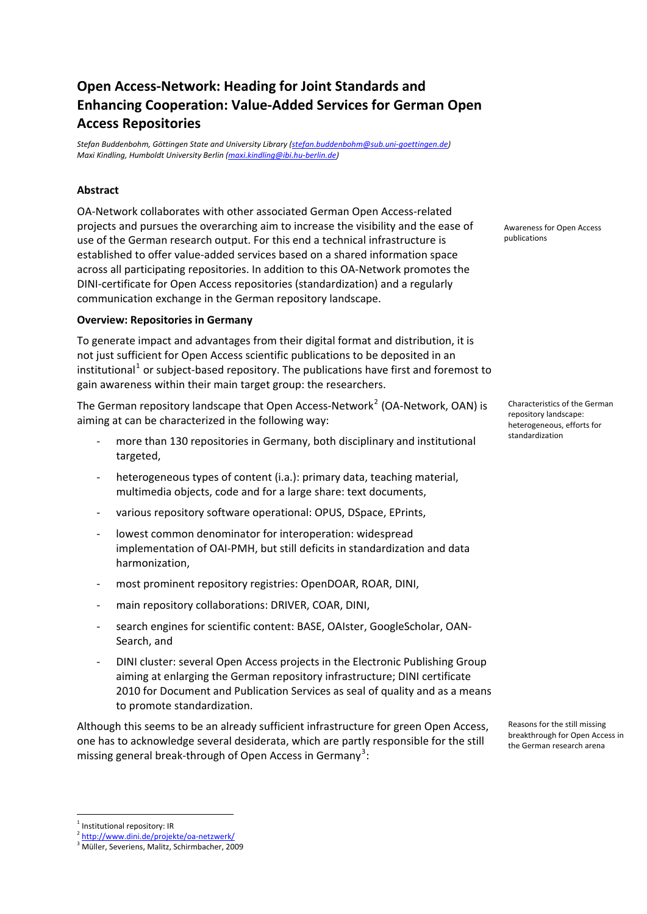# **Open Access‐Network: Heading for Joint Standards and Enhancing Cooperation: Value‐Added Services for German Open Access Repositories**

*Stefan Buddenbohm, Göttingen State and University Library ([stefan.buddenbohm@sub.uni](mailto:stefan.buddenbohm@sub.uni-goettingen.de)‐goettingen.de) Maxi Kindling, Humboldt University Berlin [\(maxi.kindling@ibi.hu](mailto:maxi.kindling@ibi.hu-berlin.de)‐berlin.de)*

# **Abstract**

OA‐Network collaborates with other associated German Open Access‐related projects and pursues the overarching aim to increase the visibility and the ease of use of the German research output. For this end a technical infrastructure is established to offer value‐added services based on a shared information space across all participating repositories. In addition to this OA‐Network promotes the DINI‐certificate for Open Access repositories (standardization) and a regularly communication exchange in the German repository landscape.

## **Overview: Repositories in Germany**

To generate impact and advantages from their digital format and distribution, it is not just sufficient for Open Access scientific publications to be deposited in an institutional<sup>[1](#page-0-0)</sup> or subject-based repository. The publications have first and foremost to gain awareness within their main target group: the researchers.

The German repository landscape that Open Access-Network<sup>[2](#page-0-1)</sup> (OA-Network, OAN) is aiming at can be characterized in the following way:

- more than 130 repositories in Germany, both disciplinary and institutional standardization targeted,
- heterogeneous types of content (i.a.): primary data, teaching material, multimedia objects, code and for a large share: text documents,
- various repository software operational: OPUS, DSpace, EPrints,
- lowest common denominator for interoperation: widespread implementation of OAI‐PMH, but still deficits in standardization and data harmonization,
- most prominent repository registries: OpenDOAR, ROAR, DINI,
- ‐ main repository collaborations: DRIVER, COAR, DINI,
- search engines for scientific content: BASE, OAIster, GoogleScholar, OAN-Search, and
- ‐ DINI cluster: several Open Access projects in the Electronic Publishing Group aiming at enlarging the German repository infrastructure; DINI certificate 2010 for Document and Publication Services as seal of quality and as a means to promote standardization.

Although this seems to be an already sufficient infrastructure for green Open Access, one has to acknowledge several desiderata, which are partly responsible for the still missing general break-through of Open Access in Germany<sup>[3](#page-0-2)</sup>:

Awareness for Open Access publications

Characteristics of the German repository landscape: heterogeneous, efforts for

Reasons for the still missing breakthrough for Open Access in the German research arena

<u>.</u>

<span id="page-0-0"></span><sup>&</sup>lt;sup>1</sup> Institutional repository: IR

<span id="page-0-2"></span><span id="page-0-1"></span><sup>&</sup>lt;sup>2</sup> [http://www.dini.de/projekte/oa](http://www.dini.de/projekte/oa-netzwerk/)-netzwerk/

<sup>&</sup>lt;sup>3</sup> Müller, Severiens, Malitz, Schirmbacher, 2009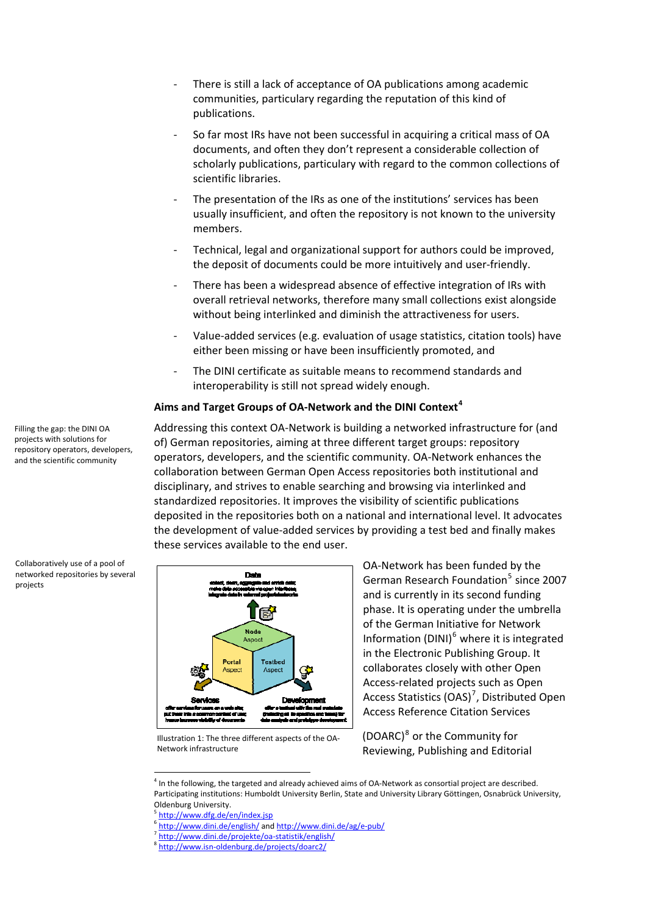- ‐ There is still a lack of acceptance of OA publications among academic communities, particulary regarding the reputation of this kind of publications.
- So far most IRs have not been successful in acquiring a critical mass of OA documents, and often they don't represent a considerable collection of scholarly publications, particulary with regard to the common collections of scientific libraries.
- The presentation of the IRs as one of the institutions' services has been usually insufficient, and often the repository is not known to the university members.
- ‐ Technical, legal and organizational support for authors could be improved, the deposit of documents could be more intuitively and user-friendly.
- ‐ There has been a widespread absence of effective integration of IRs with overall retrieval networks, therefore many small collections exist alongside without being interlinked and diminish the attractiveness for users.
- ‐ Value‐added services (e.g. evaluation of usage statistics, citation tools) have either been missing or have been insufficiently promoted, and
- The DINI certificate as suitable means to recommend standards and interoperability is still not spread widely enough.

#### **Aims and Target Groups of OA‐Network and the DINI Context[4](#page-1-0)**

Addressing this context OA‐Network is building a networked infrastructure for (and of) German repositories, aiming at three different target groups: repository operators, developers, and the scientific community. OA‐Network enhances the collaboration between German Open Access repositories both institutional and disciplinary, and strives to enable searching and browsing via interlinked and standardized repositories. It improves the visibility of scientific publications deposited in the repositories both on a national and international level. It advocates the development of value‐added services by providing a test bed and finally makes these services available to the end user.



Illustration 1: The three different aspects of the OA‐ Network infrastructure

OA‐Network has been funded by the German Research Foundation<sup>[5](#page-1-1)</sup> since 2007 and is currently in its second funding phase. It is operating under the umbrella of the German Initiative for Network Information (DINI)[6](#page-1-2) where it is integrated in the Electronic Publishing Group. It collaborates closely with other Open Access‐related projects such as Open Access Statistics (OAS)<sup>[7](#page-1-3)</sup>, Distributed Open Access Reference Citation Services

(DOARC)[8](#page-1-4) or the Community for Reviewing, Publishing and Editorial

<span id="page-1-0"></span><sup>4</sup> In the following, the targeted and already achieved aims of OA‐Network as consortial project are described. Participating institutions: Humboldt University Berlin, State and University Library Göttingen, Osnabrück University,

1

<span id="page-1-4"></span><span id="page-1-3"></span><sup>7</sup> [http://www.dini.de/projekte/oa](http://www.dini.de/projekte/oa-statistik/english/)‐statistik/english/

Filling the gap: the DINI OA projects with solutions for repository operators, developers, and the scientific community

Collaboratively use of a pool of networked repositories by several projects

Oldenburg University.<br>
<sup>5</sup> http://www.dfg.de/en/index.jsp

<span id="page-1-2"></span><span id="page-1-1"></span><sup>6</sup> <http://www.dini.de/english/> and [http://www.dini.de/ag/e](http://www.dini.de/ag/e-pub/)-pub/

<sup>&</sup>lt;sup>3</sup> http://www.isn-[oldenburg.de/projects/doarc2/](http://www.isn-oldenburg.de/projects/doarc2/)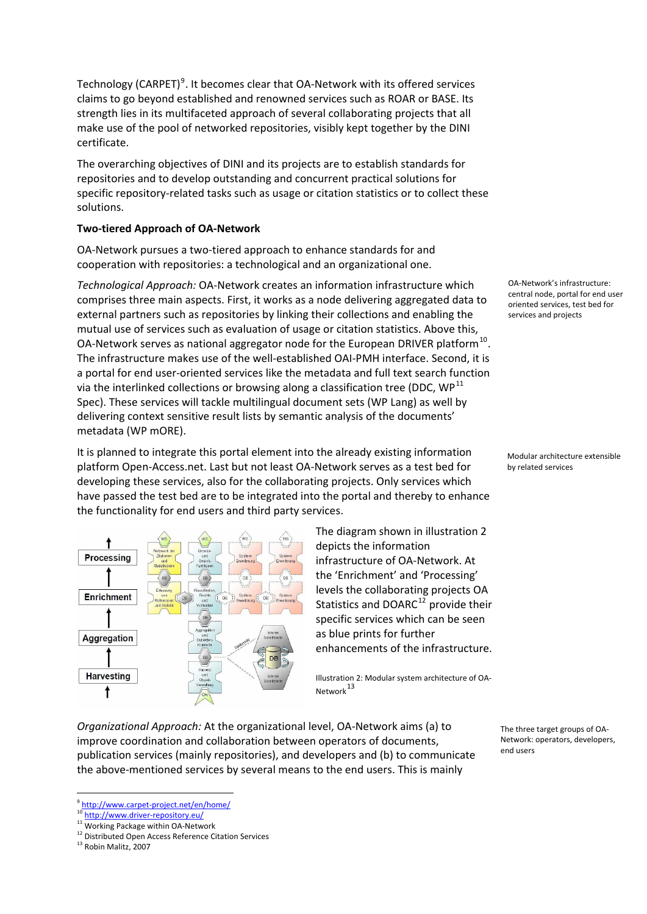Technology (CARPET)<sup>[9](#page-2-0)</sup>. It becomes clear that OA-Network with its offered services claims to go beyond established and renowned services such as ROAR or BASE. Its strength lies in its multifaceted approach of several collaborating projects that all make use of the pool of networked repositories, visibly kept together by the DINI certificate.

The overarching objectives of DINI and its projects are to establish standards for repositories and to develop outstanding and concurrent practical solutions for specific repository-related tasks such as usage or citation statistics or to collect these solutions.

## **Two‐tiered Approach of OA‐Network**

OA‐Network pursues a two‐tiered approach to enhance standards for and cooperation with repositories: a technological and an organizational one.

*Technological Approach:* OA‐Network creates an information infrastructure which comprises three main aspects. First, it works as a node delivering aggregated data to external partners such as repositories by linking their collections and enabling the mutual use of services such as evaluation of usage or citation statistics. Above this, OA-Network serves as national aggregator node for the European DRIVER platform<sup>[10](#page-2-1)</sup>. The infrastructure makes use of the well‐established OAI‐PMH interface. Second, it is a portal for end user-oriented services like the metadata and full text search function via the interlinked collections or browsing along a classification tree (DDC,  $WP<sup>11</sup>$  $WP<sup>11</sup>$  $WP<sup>11</sup>$ Spec). These services will tackle multilingual document sets (WP Lang) as well by delivering context sensitive result lists by semantic analysis of the documents' metadata (WP mORE).

It is planned to integrate this portal element into the already existing information platform Open‐Access.net. Last but not least OA‐Network serves as a test bed for developing these services, also for the collaborating projects. Only services which have passed the test bed are to be integrated into the portal and thereby to enhance the functionality for end users and third party services.



The diagram shown in illustration 2 depicts the information infrastructure of OA‐Network. At the 'Enrichment' and 'Processing' levels the collaborating projects OA Statistics and DOARC $12$  provide their specific services which can be seen as blue prints for further enhancements of the infrastructure.

Illustration 2: Modular system architecture of OA‐ Network $^{13}$  $^{13}$  $^{13}$ 

*Organizational Approach:* At the organizational level, OA‐Network aims (a) to improve coordination and collaboration between operators of documents, publication services (mainly repositories), and developers and (b) to communicate the above‐mentioned services by several means to the end users. This is mainly

<u>.</u>

OA‐Network's infrastructure: central node, portal for end user oriented services, test bed for services and projects

Modular architecture extensible by related services

The three target groups of OA-Network: operators, developers, end users

<span id="page-2-1"></span><span id="page-2-0"></span><sup>&</sup>lt;sup>9</sup> http://www.carpet-[project.net/en/home/](http://www.carpet-project.net/en/home/)<br><sup>10</sup> http://www.driver-repository.eu/

<span id="page-2-2"></span><sup>11</sup> Working Package within OA-Network

<span id="page-2-3"></span><sup>12</sup> Distributed Open Access Reference Citation Services

<span id="page-2-4"></span><sup>&</sup>lt;sup>13</sup> Robin Malitz, 2007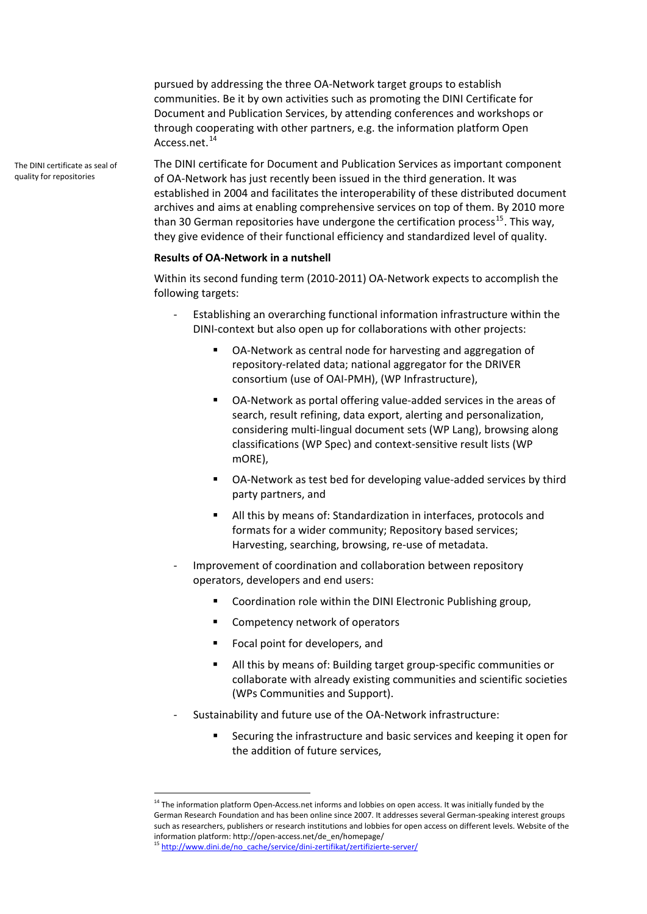pursued by addressing the three OA‐Network target groups to establish communities. Be it by own activities such as promoting the DINI Certificate for Document and Publication Services, by attending conferences and workshops or through cooperating with other partners, e.g. the information platform Open Access.net.<sup>[14](#page-3-0)</sup>

The DINI certificate for Document and Publication Services as important component of OA‐Network has just recently been issued in the third generation. It was established in 2004 and facilitates the interoperability of these distributed document archives and aims at enabling comprehensive services on top of them. By 2010 more than 30 German repositories have undergone the certification process<sup>[15](#page-3-1)</sup>. This way, they give evidence of their functional efficiency and standardized level of quality.

#### **Results of OA‐Network in a nutshell**

Within its second funding term (2010-2011) OA-Network expects to accomplish the following targets:

- ‐ Establishing an overarching functional information infrastructure within the DINI‐context but also open up for collaborations with other projects:
	- OA-Network as central node for harvesting and aggregation of repository‐related data; national aggregator for the DRIVER consortium (use of OAI‐PMH), (WP Infrastructure),
	- OA-Network as portal offering value-added services in the areas of search, result refining, data export, alerting and personalization, considering multi‐lingual document sets (WP Lang), browsing along classifications (WP Spec) and context‐sensitive result lists (WP mORE),
	- OA‐Network as test bed for developing value‐added services by third party partners, and
	- All this by means of: Standardization in interfaces, protocols and formats for a wider community; Repository based services; Harvesting, searching, browsing, re‐use of metadata.
- Improvement of coordination and collaboration between repository operators, developers and end users:
	- Coordination role within the DINI Electronic Publishing group,
	- Competency network of operators
	- Focal point for developers, and
	- All this by means of: Building target group‐specific communities or collaborate with already existing communities and scientific societies (WPs Communities and Support).
- ‐ Sustainability and future use of the OA‐Network infrastructure:
	- Securing the infrastructure and basic services and keeping it open for the addition of future services,

<u>.</u>

The DINI certificate as seal of quality for repositories

<span id="page-3-0"></span><sup>&</sup>lt;sup>14</sup> The information platform Open-Access.net informs and lobbies on open access. It was initially funded by the German Research Foundation and has been online since 2007. It addresses several German‐speaking interest groups such as researchers, publishers or research institutions and lobbies for open access on different levels. Website of the information platform: http://open‐access.net/de\_en/homepage/

<span id="page-3-1"></span><sup>&</sup>lt;sup>15</sup> [http://www.dini.de/no\\_cache/service/dini](http://www.dini.de/no_cache/service/dini-zertifikat/zertifizierte-server/)-zertifikat/zertifizierte-server/